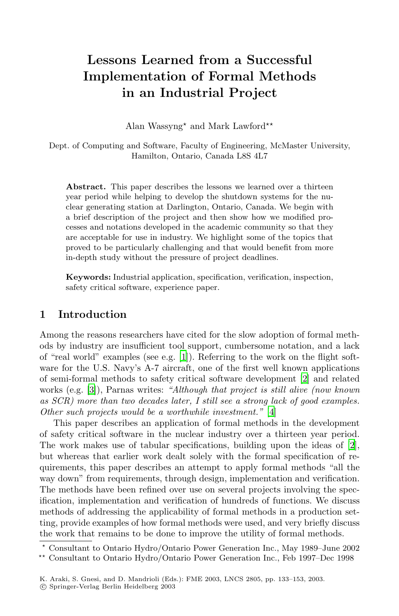# **Lessons Learned from a Successful Implementation of Formal Methods in an Industrial Project**

Alan Wassyng<sup>\*</sup> and Mark Lawford<sup>\*\*</sup>

Dept. of Computing and Software, Faculty of Engineering, McMaster University, Hamilton, Ontario, Canada L8S 4L7

**Abstract.** This paper describes the lessons we learned over a thirteen year period while helping to develop the shutdown systems for the nuclear generating station at Darlington, Ontario, Canada. We begin with a brief description of the project and then show how we modified processes and notations developed in the academic community so that they are acceptable for use in industry. We highlight some of the topics that proved to be particularly challenging and that would benefit from more in-depth study without the pressure of project deadlines.

**Keywords:** Industrial application, specification, verification, inspection, safety critical software, experience paper.

#### **1 Introduction**

Among the reasons researchers have cited for the slow adoption of formal methods by industry are insufficient tool support, cumbersome notation, and a lack of "real world" examples (see e.g. [\[1](#page-19-0)]). Referring to the work on the flight software for the U.S. Navy's A-7 aircraft, one of the first well known applications of semi-formal methods to safety critical software development [\[2\]](#page-19-0) and related works (e.g. [\[3\]](#page-19-0)), Parnas writes: *"Although that project is still alive (now known as SCR) more than two decades later, I still see a strong lack of good examples. Other such projects would be a worthwhile investment."* [\[4](#page-19-0)]

This paper describes an application of formal methods in the development of safety critical software in the nuclear industry over a thirteen year period. The work makes use of tabular specifications, building upon the ideas of [\[2](#page-19-0)], but whereas that earlier work dealt solely with the formal specification of requirements, this paper describes an attempt to apply formal methods "all the way down" from requirements, through design, implementation and verification. The methods have been refined over use on several projects involving the specification, implementation and verification of hundreds of functions. We discuss methods of addressing the applicability of formal methods in a production setting, provide examples of how formal methods were used, and very briefly discuss the work that remains to be done to improve the utility of formal methods.

Consultant to Ontario Hydro/Ontario Power Generation Inc., May 1989–June 2002

Consultant to Ontario Hydro/Ontario Power Generation Inc., Feb 1997–Dec 1998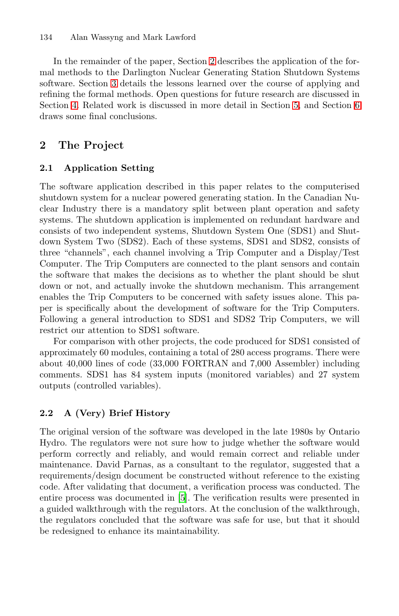In the remainder of the paper, Section 2 describes the application of the formal methods to the Darlington Nuclear Generating Station Shutdown Systems software. Section [3](#page-13-0) details the lessons learned over the course of applying and refining the formal methods. Open questions for future research are discussed in Section [4.](#page-18-0) Related work is discussed in more detail in Section [5,](#page-18-0) and Section [6](#page-19-0) draws some final conclusions.

## **2 The Project**

### **2.1 Application Setting**

The software application described in this paper relates to the computerised shutdown system for a nuclear powered generating station. In the Canadian Nuclear Industry there is a mandatory split between plant operation and safety systems. The shutdown application is implemented on redundant hardware and consists of two independent systems, Shutdown System One (SDS1) and Shutdown System Two (SDS2). Each of these systems, SDS1 and SDS2, consists of three "channels", each channel involving a Trip Computer and a Display/Test Computer. The Trip Computers are connected to the plant sensors and contain the software that makes the decisions as to whether the plant should be shut down or not, and actually invoke the shutdown mechanism. This arrangement enables the Trip Computers to be concerned with safety issues alone. This paper is specifically about the development of software for the Trip Computers. Following a general introduction to SDS1 and SDS2 Trip Computers, we will restrict our attention to SDS1 software.

For comparison with other projects, the code produced for SDS1 consisted of approximately 60 modules, containing a total of 280 access programs. There were about 40,000 lines of code (33,000 FORTRAN and 7,000 Assembler) including comments. SDS1 has 84 system inputs (monitored variables) and 27 system outputs (controlled variables).

## **2.2 A (Very) Brief History**

The original version of the software was developed in the late 1980s by Ontario Hydro. The regulators were not sure how to judge whether the software would perform correctly and reliably, and would remain correct and reliable under maintenance. David Parnas, as a consultant to the regulator, suggested that a requirements/design document be constructed without reference to the existing code. After validating that document, a verification process was conducted. The entire process was documented in [\[5](#page-19-0)]. The verification results were presented in a guided walkthrough with the regulators. At the conclusion of the walkthrough, the regulators concluded that the software was safe for use, but that it should be redesigned to enhance its maintainability.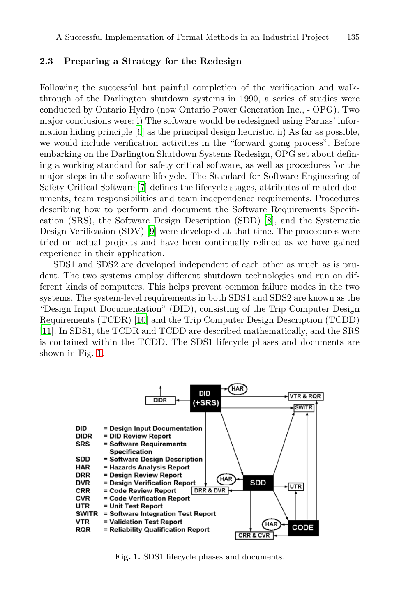#### **2.3 Preparing a Strategy for the Redesign**

Following the successful but painful completion of the verification and walkthrough of the Darlington shutdown systems in 1990, a series of studies were conducted by Ontario Hydro (now Ontario Power Generation Inc., - OPG). Two major conclusions were: i) The software would be redesigned using Parnas' information hiding principle  $[6]$  $[6]$  as the principal design heuristic. ii) As far as possible, we would include verification activities in the "forward going process". Before embarking on the Darlington Shutdown Systems Redesign, OPG set about defining a working standard for safety critical software, as well as procedures for the major steps in the software lifecycle. The Standard for Software Engineering of Safety Critical Software [\[7](#page-20-0)] defines the lifecycle stages, attributes of related documents, team responsibilities and team independence requirements. Procedures describing how to perform and document the Software Requirements Specification (SRS), the Software Design Description (SDD) [\[8](#page-20-0)], and the Systematic Design Verification (SDV) [\[9\]](#page-20-0) were developed at that time. The procedures were tried on actual projects and have been continually refined as we have gained experience in their application.

SDS1 and SDS2 are developed independent of each other as much as is prudent. The two systems employ different shutdown technologies and run on different kinds of computers. This helps prevent common failure modes in the two systems. The system-level requirements in both SDS1 and SDS2 are known as the "Design Input Documentation" (DID), consisting of the Trip Computer Design Requirements (TCDR) [\[10\]](#page-20-0) and the Trip Computer Design Description (TCDD) [\[11](#page-20-0)]. In SDS1, the TCDR and TCDD are described mathematically, and the SRS is contained within the TCDD. The SDS1 lifecycle phases and documents are shown in Fig. 1.



**Fig. 1.** SDS1 lifecycle phases and documents.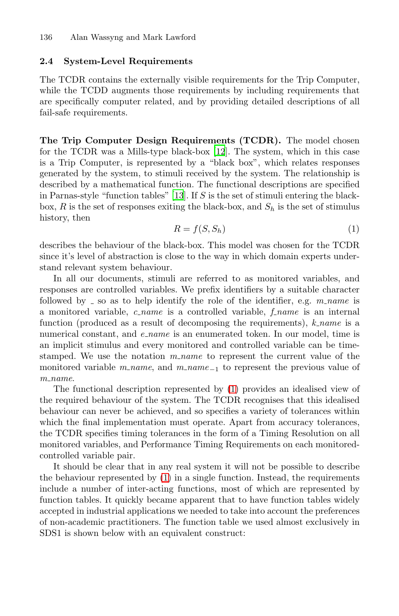#### <span id="page-3-0"></span>**2.4 System-Level Requirements**

The TCDR contains the externally visible requirements for the Trip Computer, while the TCDD augments those requirements by including requirements that are specifically computer related, and by providing detailed descriptions of all fail-safe requirements.

**The Trip Computer Design Requirements (TCDR).** The model chosen for the TCDR was a Mills-type black-box [\[12](#page-20-0)]. The system, which in this case is a Trip Computer, is represented by a "black box", which relates responses generated by the system, to stimuli received by the system. The relationship is described by a mathematical function. The functional descriptions are specified in Parnas-style "function tables"  $[13]$  $[13]$ . If S is the set of stimuli entering the blackbox, R is the set of responses exiting the black-box, and  $S_h$  is the set of stimulus history, then

$$
R = f(S, S_h) \tag{1}
$$

describes the behaviour of the black-box. This model was chosen for the TCDR since it's level of abstraction is close to the way in which domain experts understand relevant system behaviour.

In all our documents, stimuli are referred to as monitored variables, and responses are controlled variables. We prefix identifiers by a suitable character followed by so as to help identify the role of the identifier, e.g. *m\_name* is a monitored variable, *c name* is a controlled variable, *f name* is an internal function (produced as a result of decomposing the requirements), *k name* is a numerical constant, and *e\_name* is an enumerated token. In our model, time is an implicit stimulus and every monitored and controlled variable can be timestamped. We use the notation *m name* to represent the current value of the monitored variable *m\_name*, and *m\_name*<sub>-1</sub> to represent the previous value of *m name*.

The functional description represented by (1) provides an idealised view of the required behaviour of the system. The TCDR recognises that this idealised behaviour can never be achieved, and so specifies a variety of tolerances within which the final implementation must operate. Apart from accuracy tolerances, the TCDR specifies timing tolerances in the form of a Timing Resolution on all monitored variables, and Performance Timing Requirements on each monitoredcontrolled variable pair.

It should be clear that in any real system it will not be possible to describe the behaviour represented by (1) in a single function. Instead, the requirements include a number of inter-acting functions, most of which are represented by function tables. It quickly became apparent that to have function tables widely accepted in industrial applications we needed to take into account the preferences of non-academic practitioners. The function table we used almost exclusively in SDS1 is shown below with an equivalent construct: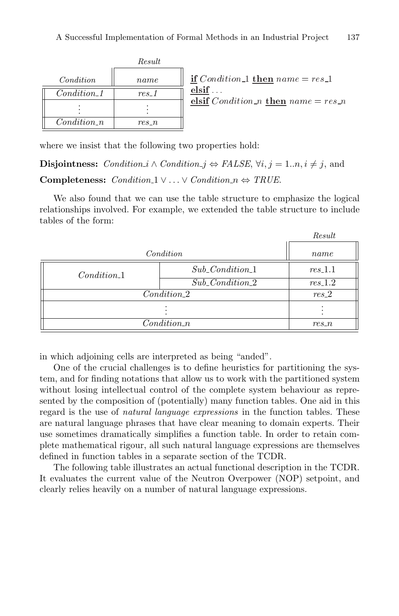|                    | Result     |                                                                                                           |
|--------------------|------------|-----------------------------------------------------------------------------------------------------------|
| <i>Condition</i>   | name       | $\underline{\textbf{if}} \textit{Condition\_1} \underline{\textbf{then}} \textit{name} = \textit{res\_1}$ |
| <i>Condition</i> 1 | res 1      | $\mathbf{else}$                                                                                           |
|                    |            | elsif $Condition_n$ then $name = res_n$                                                                   |
| <i>Condition n</i> | $res_{-}n$ |                                                                                                           |

where we insist that the following two properties hold:

**Disjointness:** *Condition*<sub>*i*</sub> ∧ *Condition<sub>-</sub>j* ⇔ *FALSE*,  $\forall i, j = 1..n, i \neq j$ , and **Completeness:** *Condition*\_1 ∨ ... ∨ *Condition\_n*  $\Leftrightarrow$  *TRUE*.

We also found that we can use the table structure to emphasize the logical relationships involved. For example, we extended the table structure to include tables of the form:

|                |                     | Result    |
|----------------|---------------------|-----------|
| Condition      | name                |           |
| $Condition_1$  | $Sub\_Condition\_1$ | $res_1.1$ |
|                | $Sub\_Condition_2$  | $res_1.2$ |
| $Condition_2$  | $res_2$             |           |
|                |                     |           |
| $Condition\_n$ |                     | $res\_n$  |

in which adjoining cells are interpreted as being "anded".

One of the crucial challenges is to define heuristics for partitioning the system, and for finding notations that allow us to work with the partitioned system without losing intellectual control of the complete system behaviour as represented by the composition of (potentially) many function tables. One aid in this regard is the use of *natural language expressions* in the function tables. These are natural language phrases that have clear meaning to domain experts. Their use sometimes dramatically simplifies a function table. In order to retain complete mathematical rigour, all such natural language expressions are themselves defined in function tables in a separate section of the TCDR.

The following table illustrates an actual functional description in the TCDR. It evaluates the current value of the Neutron Overpower (NOP) setpoint, and clearly relies heavily on a number of natural language expressions.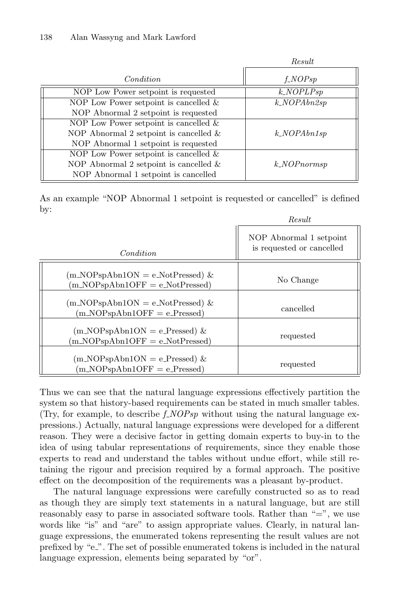|                                           | Result                            |
|-------------------------------------------|-----------------------------------|
| Condition                                 | $f_NOPsp$                         |
| NOP Low Power setpoint is requested       | $k$ <sub>-</sub> <i>NOPLPsp</i>   |
| NOP Low Power setpoint is cancelled $\&$  | $k$ <sub>-</sub> NOPA $b$ n $2sp$ |
| NOP Abnormal 2 setpoint is requested      |                                   |
| NOP Low Power setpoint is cancelled $\&$  |                                   |
| NOP Abnormal 2 setpoint is cancelled $\&$ | $k$ <sub>-</sub> <i>NOPAbn1sp</i> |
| NOP Abnormal 1 setpoint is requested      |                                   |
| NOP Low Power setpoint is cancelled $\&$  |                                   |
| NOP Abnormal 2 setpoint is cancelled $\&$ | $k$ <sub>-</sub> NOPnormsp        |
| NOP Abnormal 1 setpoint is cancelled      |                                   |

As an example "NOP Abnormal 1 setpoint is requested or cancelled" is defined by:

| Result                                                                  |                                                      |
|-------------------------------------------------------------------------|------------------------------------------------------|
| Condition                                                               | NOP Abnormal 1 setpoint<br>is requested or cancelled |
| $(m_NOPspAbn1ON = e_NotPressed)$ &<br>$(m_NOPspAbn10FF = e_NotPressed)$ | No Change                                            |
| $(m_NOPspAbn1ON = e_NotPressed)$ &<br>$(m_NOPspAbn1OFF = e_Pressed)$    | cancelled                                            |
| $(m_NOPspAbn1ON = e_Pressed)$ &<br>$(m_NOPspAbn1OFF = e_NotPressed)$    | requested                                            |
| $(m_NOPspAbn1ON = e.Pressed)$ &<br>$(m_NOPspAbn1OFF = e_P$ ressed)      | requested                                            |

Thus we can see that the natural language expressions effectively partition the system so that history-based requirements can be stated in much smaller tables. (Try, for example, to describe *f NOPsp* without using the natural language expressions.) Actually, natural language expressions were developed for a different reason. They were a decisive factor in getting domain experts to buy-in to the idea of using tabular representations of requirements, since they enable those experts to read and understand the tables without undue effort, while still retaining the rigour and precision required by a formal approach. The positive effect on the decomposition of the requirements was a pleasant by-product.

The natural language expressions were carefully constructed so as to read as though they are simply text statements in a natural language, but are still reasonably easy to parse in associated software tools. Rather than "=", we use words like "is" and "are" to assign appropriate values. Clearly, in natural language expressions, the enumerated tokens representing the result values are not prefixed by "e ". The set of possible enumerated tokens is included in the natural language expression, elements being separated by "or".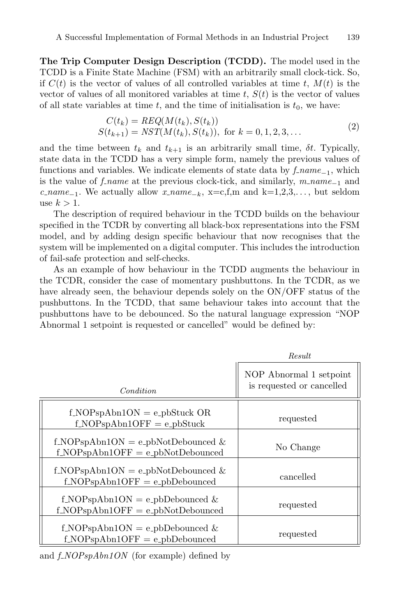<span id="page-6-0"></span>**The Trip Computer Design Description (TCDD).** The model used in the TCDD is a Finite State Machine (FSM) with an arbitrarily small clock-tick. So, if  $C(t)$  is the vector of values of all controlled variables at time t,  $M(t)$  is the vector of values of all monitored variables at time  $t, S(t)$  is the vector of values of all state variables at time  $t$ , and the time of initialisation is  $t_0$ , we have:

$$
C(t_k) = REQ(M(t_k), S(t_k))
$$
  
\n
$$
S(t_{k+1}) = NST(M(t_k), S(t_k)), \text{ for } k = 0, 1, 2, 3, ...
$$
\n(2)

and the time between  $t_k$  and  $t_{k+1}$  is an arbitrarily small time,  $\delta t$ . Typically, state data in the TCDD has a very simple form, namely the previous values of functions and variables. We indicate elements of state data by *f name*−<sup>1</sup>, which is the value of *f name* at the previous clock-tick, and similarly, *m name*−<sup>1</sup> and *c\_name*<sub>-1</sub>. We actually allow *x\_name*<sub>-k</sub>, x=c,f,m and k=1,2,3,..., but seldom use  $k > 1$ .

The description of required behaviour in the TCDD builds on the behaviour specified in the TCDR by converting all black-box representations into the FSM model, and by adding design specific behaviour that now recognises that the system will be implemented on a digital computer. This includes the introduction of fail-safe protection and self-checks.

As an example of how behaviour in the TCDD augments the behaviour in the TCDR, consider the case of momentary pushbuttons. In the TCDR, as we have already seen, the behaviour depends solely on the ON/OFF status of the pushbuttons. In the TCDD, that same behaviour takes into account that the pushbuttons have to be debounced. So the natural language expression "NOP Abnormal 1 setpoint is requested or cancelled" would be defined by:

|                                                                            | Result                                               |  |  |
|----------------------------------------------------------------------------|------------------------------------------------------|--|--|
| Condition                                                                  | NOP Abnormal 1 setpoint<br>is requested or cancelled |  |  |
| $f_NOPs$ $phn1ON = e_pbStuck OR$<br>$f_NOPspAbn1OFF = e_pbStuck$           | requested                                            |  |  |
| f_NOPspAbn1ON = e_pbNotDebounced &<br>$f_NOPs$ pAbn1OFF = e_pbNotDebounced | No Change                                            |  |  |
| f_NOPspAbn1ON = e_pbNotDebounced &<br>$f_NOPs$ $phn1$ OFF = e_pbDebounced  | cancelled                                            |  |  |
| f_NOPspAbn1ON = e_pbDebounced &<br>$f_NOPs$ $pAbn1OFF = e_pbNotDebounced$  | requested                                            |  |  |
| f_NOPspAbn1ON = e_pbDebounced &<br>$f_NOPs$ $pAbn1OFF = e_pbDebounce$      | requested                                            |  |  |

and *f NOPspAbn1ON* (for example) defined by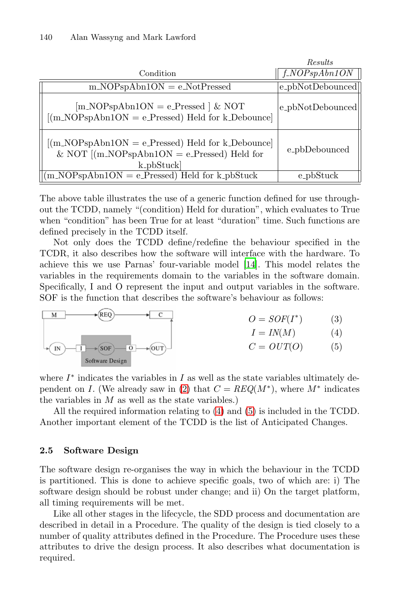|                                                                                                                  | Results                                       |
|------------------------------------------------------------------------------------------------------------------|-----------------------------------------------|
| Condition                                                                                                        | $\parallel f_{\perp} NOPs p\overline{Abn1ON}$ |
| $m_NOPs$ $p_Abn1ON = e_NotP$ ressed                                                                              | e_pbNotDebounced                              |
| $[m_NOPspAbn1ON = e.Pressed] & NOT$<br>$[(m_NOPspAbn1ON = e.Pressed)$ Held for k_Debounce                        | $ e_{p}bNotDebounce $                         |
| $[(m.NOPspAbn1ON = e.Pressed)$ Held for k_Debounce<br>& NOT $[(m.NOPspAbn1ON = e.Pressed)$ Held for<br>k_pbStuck | e_pbDebounced                                 |
| $(m_NOPspAbn1ON = e.Pressed)$ Held for k_pbStuck                                                                 | e_pbStuck                                     |

The above table illustrates the use of a generic function defined for use throughout the TCDD, namely "(condition) Held for duration", which evaluates to True when "condition" has been True for at least "duration" time. Such functions are defined precisely in the TCDD itself.

Not only does the TCDD define/redefine the behaviour specified in the TCDR, it also describes how the software will interface with the hardware. To achieve this we use Parnas' four-variable model [\[14\]](#page-20-0). This model relates the variables in the requirements domain to the variables in the software domain. Specifically, I and O represent the input and output variables in the software. SOF is the function that describes the software's behaviour as follows:



where  $I^*$  indicates the variables in I as well as the state variables ultimately de-pendent on I. (We already saw in [\(2\)](#page-6-0) that  $C = REQ(M^*)$ , where  $M^*$  indicates the variables in  $M$  as well as the state variables.)

All the required information relating to (4) and (5) is included in the TCDD. Another important element of the TCDD is the list of Anticipated Changes.

#### **2.5 Software Design**

The software design re-organises the way in which the behaviour in the TCDD is partitioned. This is done to achieve specific goals, two of which are: i) The software design should be robust under change; and ii) On the target platform, all timing requirements will be met.

Like all other stages in the lifecycle, the SDD process and documentation are described in detail in a Procedure. The quality of the design is tied closely to a number of quality attributes defined in the Procedure. The Procedure uses these attributes to drive the design process. It also describes what documentation is required.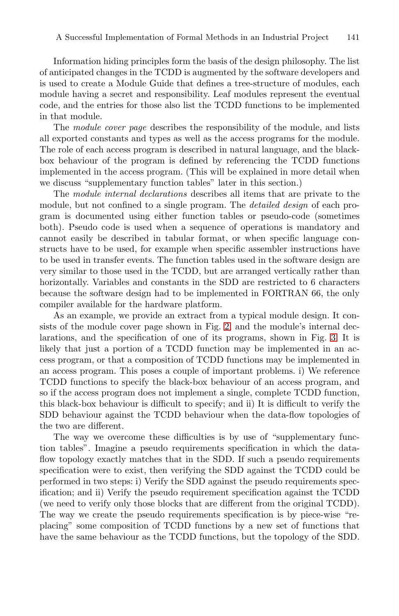Information hiding principles form the basis of the design philosophy. The list of anticipated changes in the TCDD is augmented by the software developers and is used to create a Module Guide that defines a tree-structure of modules, each module having a secret and responsibility. Leaf modules represent the eventual code, and the entries for those also list the TCDD functions to be implemented in that module.

The *module cover page* describes the responsibility of the module, and lists all exported constants and types as well as the access programs for the module. The role of each access program is described in natural language, and the blackbox behaviour of the program is defined by referencing the TCDD functions implemented in the access program. (This will be explained in more detail when we discuss "supplementary function tables" later in this section.)

The *module internal declarations* describes all items that are private to the module, but not confined to a single program. The *detailed design* of each program is documented using either function tables or pseudo-code (sometimes both). Pseudo code is used when a sequence of operations is mandatory and cannot easily be described in tabular format, or when specific language constructs have to be used, for example when specific assembler instructions have to be used in transfer events. The function tables used in the software design are very similar to those used in the TCDD, but are arranged vertically rather than horizontally. Variables and constants in the SDD are restricted to 6 characters because the software design had to be implemented in FORTRAN 66, the only compiler available for the hardware platform.

As an example, we provide an extract from a typical module design. It consists of the module cover page shown in Fig. [2,](#page-9-0) and the module's internal declarations, and the specification of one of its programs, shown in Fig. [3.](#page-10-0) It is likely that just a portion of a TCDD function may be implemented in an access program, or that a composition of TCDD functions may be implemented in an access program. This poses a couple of important problems. i) We reference TCDD functions to specify the black-box behaviour of an access program, and so if the access program does not implement a single, complete TCDD function, this black-box behaviour is difficult to specify; and ii) It is difficult to verify the SDD behaviour against the TCDD behaviour when the data-flow topologies of the two are different.

The way we overcome these difficulties is by use of "supplementary function tables". Imagine a pseudo requirements specification in which the dataflow topology exactly matches that in the SDD. If such a pseudo requirements specification were to exist, then verifying the SDD against the TCDD could be performed in two steps: i) Verify the SDD against the pseudo requirements specification; and ii) Verify the pseudo requirement specification against the TCDD (we need to verify only those blocks that are different from the original TCDD). The way we create the pseudo requirements specification is by piece-wise "replacing" some composition of TCDD functions by a new set of functions that have the same behaviour as the TCDD functions, but the topology of the SDD.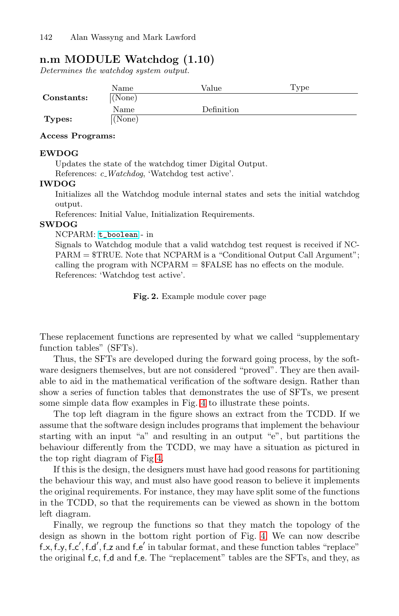## <span id="page-9-0"></span>**n.m MODULE Watchdog (1.10)**

Determines the watchdog system output.

|              | Name   | Value      | Type |
|--------------|--------|------------|------|
| $Constants:$ | (None) |            |      |
|              | Name   | Definition |      |
| Types:       | (None) |            |      |

#### **Access Programs:**

#### **EWDOG**

Updates the state of the watchdog timer Digital Output. References: c\_Watchdog, 'Watchdog test active'.

#### **IWDOG**

Initializes all the Watchdog module internal states and sets the initial watchdog output.

References: Initial Value, Initialization Requirements.

#### **SWDOG**

NCPARM: [t\\_boolean](t_boolean) - in

Signals to Watchdog module that a valid watchdog test request is received if NC-PARM = \$TRUE. Note that NCPARM is a "Conditional Output Call Argument"; calling the program with NCPARM = \$FALSE has no effects on the module. References: 'Watchdog test active'.

**Fig. 2.** Example module cover page

These replacement functions are represented by what we called "supplementary function tables" (SFTs).

Thus, the SFTs are developed during the forward going process, by the software designers themselves, but are not considered "proved". They are then available to aid in the mathematical verification of the software design. Rather than show a series of function tables that demonstrates the use of SFTs, we present some simple data flow examples in Fig. [4](#page-11-0) to illustrate these points.

The top left diagram in the figure shows an extract from the TCDD. If we assume that the software design includes programs that implement the behaviour starting with an input "a" and resulting in an output "e", but partitions the behaviour differently from the TCDD, we may have a situation as pictured in the top right diagram of Fig [4.](#page-11-0)

If this is the design, the designers must have had good reasons for partitioning the behaviour this way, and must also have good reason to believe it implements the original requirements. For instance, they may have split some of the functions in the TCDD, so that the requirements can be viewed as shown in the bottom left diagram.

Finally, we regroup the functions so that they match the topology of the design as shown in the bottom right portion of Fig. [4.](#page-11-0) We can now describe  $f_x, f_y, f_c', f_d', f_z$  and  $f_e'$  in tabular format, and these function tables "replace" the original f<sub>-c</sub>, f<sub>-d</sub> and f<sub>-c</sub>. The "replacement" tables are the SFTs, and they, as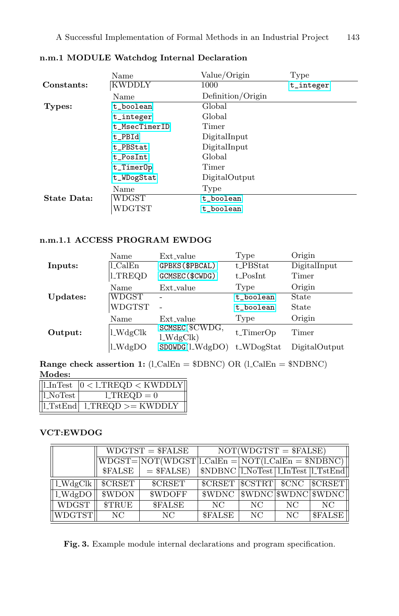|                    | Name                    | Value/Origin      | Type      |
|--------------------|-------------------------|-------------------|-----------|
| Constants:         | <b>KWDDLY</b>           | 1000              | t_integer |
|                    | Name                    | Definition/Origin |           |
| Types:             | t_boolean               | Global            |           |
|                    | t_integer               | Global            |           |
|                    | t_MsecTimerID           | Timer             |           |
|                    | t PBId                  | DigitalInput      |           |
|                    | t PBStat                | DigitalInput      |           |
|                    | $t$ <sub>-Pos</sub> Int | Global            |           |
|                    | t_Timer0p               | Timer             |           |
|                    | t_WDogStat              | DigitalOutput     |           |
|                    | Name                    | Type              |           |
| <b>State Data:</b> | WDGST                   | t_boolean         |           |
|                    | WDGTST                  | t_boolean         |           |

<span id="page-10-0"></span>**n.m.1 MODULE Watchdog Internal Declaration**

#### **n.m.1.1 ACCESS PROGRAM EWDOG**

|          | Name          | Ext_value                | Type                                | Origin        |
|----------|---------------|--------------------------|-------------------------------------|---------------|
| Inputs:  | $l$ -CalEn    | GPBKS (\$PBCAL)          | t_PBStat                            | DigitalInput  |
|          | <b>LTREQD</b> | GCMSEC(\$CWDG)           | t_PosInt                            | Timer         |
|          | Name          | Ext_value                | Type                                | Origin        |
| Updates: | <b>WDGST</b>  |                          | t_boolean                           | State         |
|          | <b>WDGTST</b> | $\overline{\phantom{0}}$ | $t_{\scriptscriptstyle{-}}$ boolean | State         |
|          | Name          | Ext_value                | Type                                | Origin        |
| Output:  | l_WdgClk      | SCMSEC(\$CWDG,           | $t$ -TimerOp                        | Timer         |
|          |               | $1-WdgClk$               |                                     |               |
|          | $1-WdgDO$     | $SDOWDG(1-WdgDO)$        | t_WDogStat                          | DigitalOutput |

**Range check assertion 1:**  $(LCaIEn = $DBNC) OR (LCaIEn = $NDBNC)$ **Modes:**

|                  | $\vert$ LInTest $\vert 0 \vert < 1$ TREQD $\vert <$ KWDDLY |
|------------------|------------------------------------------------------------|
| $ $ l_NoTest $ $ | $1$ TREOD = 0                                              |
|                  | $\vert$ l.TstEnd l.TREQD >= KWDDLY                         |

#### **VCT:EWDOG**

|                                  | $WDGTST = $FALSE$ |                                                                                                                                      | $NOT(WDGTST = $FALSE)$                |     |     |               |
|----------------------------------|-------------------|--------------------------------------------------------------------------------------------------------------------------------------|---------------------------------------|-----|-----|---------------|
|                                  |                   | $\overline{\text{WDGST}} = \overline{\text{NOT}(\text{WDGST} \text{LCalEn} = \overline{\text{NOT}(\text{LCalEn} = \$\text{NDBNC}) }$ |                                       |     |     |               |
|                                  |                   | $$FALSE \vert = $FALSE)$                                                                                                             | SNDBNC LNoTest LInTest LTstEnd        |     |     |               |
| LWdgClk                          | SCRSET            | <b>\$CRSET</b>                                                                                                                       | \$CRSET SCSTRT SCNC SCRSET            |     |     |               |
| LWdgDO                           | \$WDON            | <b>\$WDOFF</b>                                                                                                                       | <b><i>SWDNC SWDNC SWDNC SWDNC</i></b> |     |     |               |
| WDGST                            | <b>STRUE</b>      | $$$ FALSE                                                                                                                            | NC.                                   | NC. | NC. | NC.           |
| $\vert\vert$ WDGTST $\vert\vert$ | NC.               | NC.                                                                                                                                  | \$FALSE                               | NC. | NC. | <b>SFALSE</b> |

**Fig. 3.** Example module internal declarations and program specification.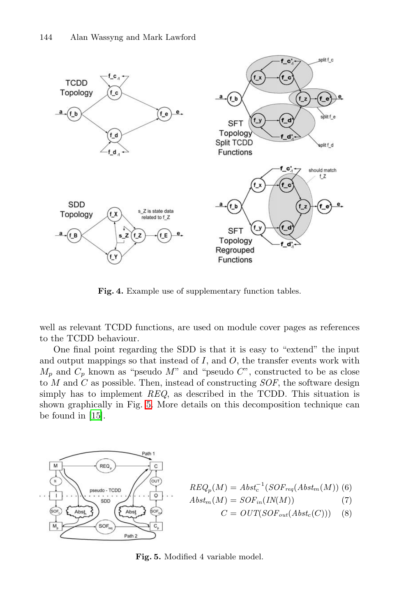<span id="page-11-0"></span>

**Fig. 4.** Example use of supplementary function tables.

well as relevant TCDD functions, are used on module cover pages as references to the TCDD behaviour.

One final point regarding the SDD is that it is easy to "extend" the input and output mappings so that instead of  $I$ , and  $O$ , the transfer events work with  $M_p$  and  $C_p$  known as "pseudo M" and "pseudo C", constructed to be as close to M and C as possible. Then, instead of constructing *SOF*, the software design simply has to implement *REQ*, as described in the TCDD. This situation is shown graphically in Fig. 5. More details on this decomposition technique can be found in [\[15\]](#page-20-0).



**Fig. 5.** Modified 4 variable model.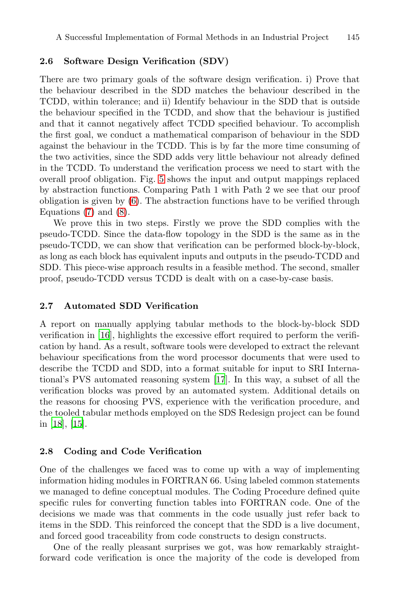#### **2.6 Software Design Verification (SDV)**

There are two primary goals of the software design verification. i) Prove that the behaviour described in the SDD matches the behaviour described in the TCDD, within tolerance; and ii) Identify behaviour in the SDD that is outside the behaviour specified in the TCDD, and show that the behaviour is justified and that it cannot negatively affect TCDD specified behaviour. To accomplish the first goal, we conduct a mathematical comparison of behaviour in the SDD against the behaviour in the TCDD. This is by far the more time consuming of the two activities, since the SDD adds very little behaviour not already defined in the TCDD. To understand the verification process we need to start with the overall proof obligation. Fig. [5](#page-11-0) shows the input and output mappings replaced by abstraction functions. Comparing Path 1 with Path 2 we see that our proof obligation is given by [\(6\)](#page-11-0). The abstraction functions have to be verified through Equations  $(7)$  and  $(8)$ .

We prove this in two steps. Firstly we prove the SDD complies with the pseudo-TCDD. Since the data-flow topology in the SDD is the same as in the pseudo-TCDD, we can show that verification can be performed block-by-block, as long as each block has equivalent inputs and outputs in the pseudo-TCDD and SDD. This piece-wise approach results in a feasible method. The second, smaller proof, pseudo-TCDD versus TCDD is dealt with on a case-by-case basis.

#### **2.7 Automated SDD Verification**

A report on manually applying tabular methods to the block-by-block SDD verification in [\[16](#page-20-0)], highlights the excessive effort required to perform the verification by hand. As a result, software tools were developed to extract the relevant behaviour specifications from the word processor documents that were used to describe the TCDD and SDD, into a format suitable for input to SRI International's PVS automated reasoning system [\[17](#page-20-0)]. In this way, a subset of all the verification blocks was proved by an automated system. Additional details on the reasons for choosing PVS, experience with the verification procedure, and the tooled tabular methods employed on the SDS Redesign project can be found in [\[18](#page-20-0)], [\[15\]](#page-20-0).

#### **2.8 Coding and Code Verification**

One of the challenges we faced was to come up with a way of implementing information hiding modules in FORTRAN 66. Using labeled common statements we managed to define conceptual modules. The Coding Procedure defined quite specific rules for converting function tables into FORTRAN code. One of the decisions we made was that comments in the code usually just refer back to items in the SDD. This reinforced the concept that the SDD is a live document, and forced good traceability from code constructs to design constructs.

One of the really pleasant surprises we got, was how remarkably straightforward code verification is once the majority of the code is developed from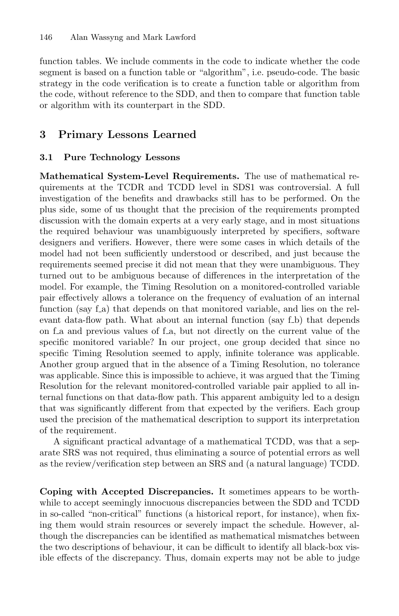<span id="page-13-0"></span>function tables. We include comments in the code to indicate whether the code segment is based on a function table or "algorithm", i.e. pseudo-code. The basic strategy in the code verification is to create a function table or algorithm from the code, without reference to the SDD, and then to compare that function table or algorithm with its counterpart in the SDD.

## **3 Primary Lessons Learned**

## **3.1 Pure Technology Lessons**

**Mathematical System-Level Requirements.** The use of mathematical requirements at the TCDR and TCDD level in SDS1 was controversial. A full investigation of the benefits and drawbacks still has to be performed. On the plus side, some of us thought that the precision of the requirements prompted discussion with the domain experts at a very early stage, and in most situations the required behaviour was unambiguously interpreted by specifiers, software designers and verifiers. However, there were some cases in which details of the model had not been sufficiently understood or described, and just because the requirements seemed precise it did not mean that they were unambiguous. They turned out to be ambiguous because of differences in the interpretation of the model. For example, the Timing Resolution on a monitored-controlled variable pair effectively allows a tolerance on the frequency of evaluation of an internal function (say f<sub>-a</sub>) that depends on that monitored variable, and lies on the relevant data-flow path. What about an internal function (say f<sub>-b</sub>) that depends on f<sub>-a</sub> and previous values of f<sub>-a</sub>, but not directly on the current value of the specific monitored variable? In our project, one group decided that since no specific Timing Resolution seemed to apply, infinite tolerance was applicable. Another group argued that in the absence of a Timing Resolution, no tolerance was applicable. Since this is impossible to achieve, it was argued that the Timing Resolution for the relevant monitored-controlled variable pair applied to all internal functions on that data-flow path. This apparent ambiguity led to a design that was significantly different from that expected by the verifiers. Each group used the precision of the mathematical description to support its interpretation of the requirement.

A significant practical advantage of a mathematical TCDD, was that a separate SRS was not required, thus eliminating a source of potential errors as well as the review/verification step between an SRS and (a natural language) TCDD.

**Coping with Accepted Discrepancies.** It sometimes appears to be worthwhile to accept seemingly innocuous discrepancies between the SDD and TCDD in so-called "non-critical" functions (a historical report, for instance), when fixing them would strain resources or severely impact the schedule. However, although the discrepancies can be identified as mathematical mismatches between the two descriptions of behaviour, it can be difficult to identify all black-box visible effects of the discrepancy. Thus, domain experts may not be able to judge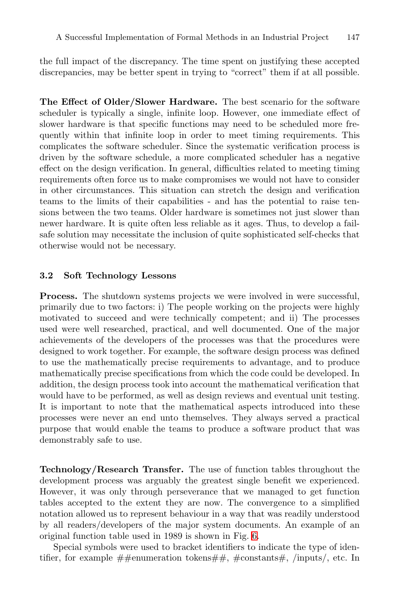the full impact of the discrepancy. The time spent on justifying these accepted discrepancies, may be better spent in trying to "correct" them if at all possible.

**The Effect of Older/Slower Hardware.** The best scenario for the software scheduler is typically a single, infinite loop. However, one immediate effect of slower hardware is that specific functions may need to be scheduled more frequently within that infinite loop in order to meet timing requirements. This complicates the software scheduler. Since the systematic verification process is driven by the software schedule, a more complicated scheduler has a negative effect on the design verification. In general, difficulties related to meeting timing requirements often force us to make compromises we would not have to consider in other circumstances. This situation can stretch the design and verification teams to the limits of their capabilities - and has the potential to raise tensions between the two teams. Older hardware is sometimes not just slower than newer hardware. It is quite often less reliable as it ages. Thus, to develop a failsafe solution may necessitate the inclusion of quite sophisticated self-checks that otherwise would not be necessary.

#### **3.2 Soft Technology Lessons**

**Process.** The shutdown systems projects we were involved in were successful, primarily due to two factors: i) The people working on the projects were highly motivated to succeed and were technically competent; and ii) The processes used were well researched, practical, and well documented. One of the major achievements of the developers of the processes was that the procedures were designed to work together. For example, the software design process was defined to use the mathematically precise requirements to advantage, and to produce mathematically precise specifications from which the code could be developed. In addition, the design process took into account the mathematical verification that would have to be performed, as well as design reviews and eventual unit testing. It is important to note that the mathematical aspects introduced into these processes were never an end unto themselves. They always served a practical purpose that would enable the teams to produce a software product that was demonstrably safe to use.

**Technology/Research Transfer.** The use of function tables throughout the development process was arguably the greatest single benefit we experienced. However, it was only through perseverance that we managed to get function tables accepted to the extent they are now. The convergence to a simplified notation allowed us to represent behaviour in a way that was readily understood by all readers/developers of the major system documents. An example of an original function table used in 1989 is shown in Fig. [6.](#page-15-0)

Special symbols were used to bracket identifiers to indicate the type of identifier, for example  $\#$ #enumeration tokens $\#$ #,  $\#$ constants $\#$ , /inputs/, etc. In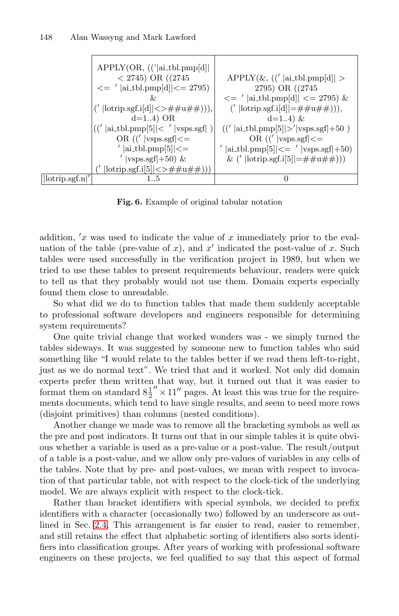<span id="page-15-0"></span>

**Fig. 6.** Example of original tabular notation

addition, 'x was used to indicate the value of x immediately prior to the evaluation of the table (pre-value of x), and x' indicated the post-value of x. Such tables were used successfully in the verification project in 1989, but when we tried to use these tables to present requirements behaviour, readers were quick to tell us that they probably would not use them. Domain experts especially found them close to unreadable.

So what did we do to function tables that made them suddenly acceptable to professional software developers and engineers responsible for determining system requirements?

One quite trivial change that worked wonders was - we simply turned the tables sideways. It was suggested by someone new to function tables who said something like "I would relate to the tables better if we read them left-to-right, just as we do normal text". We tried that and it worked. Not only did domain experts prefer them written that way, but it turned out that it was easier to format them on standard  $8\frac{1}{2}'' \times 11''$  pages. At least this was true for the requirements documents, which tend to have single results, and seem to need more rows (disjoint primitives) than columns (nested conditions).

Another change we made was to remove all the bracketing symbols as well as the pre and post indicators. It turns out that in our simple tables it is quite obvious whether a variable is used as a pre-value or a post-value. The result/output of a table is a post-value, and we allow only pre-values of variables in any cells of the tables. Note that by pre- and post-values, we mean with respect to invocation of that particular table, not with respect to the clock-tick of the underlying model. We are always explicit with respect to the clock-tick.

Rather than bracket identifiers with special symbols, we decided to prefix identifiers with a character (occasionally two) followed by an underscore as outlined in Sec. [2.4.](#page-3-0) This arrangement is far easier to read, easier to remember, and still retains the effect that alphabetic sorting of identifiers also sorts identifiers into classification groups. After years of working with professional software engineers on these projects, we feel qualified to say that this aspect of formal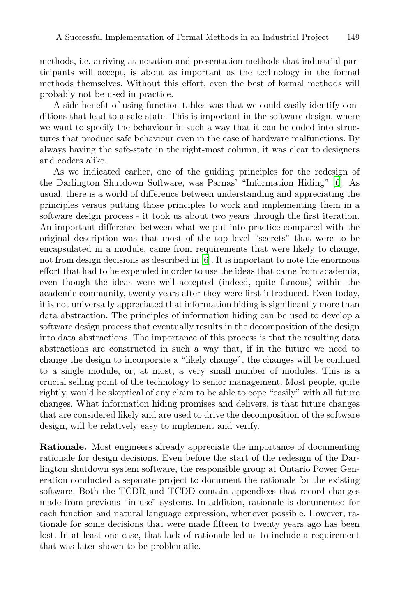methods, i.e. arriving at notation and presentation methods that industrial participants will accept, is about as important as the technology in the formal methods themselves. Without this effort, even the best of formal methods will probably not be used in practice.

A side benefit of using function tables was that we could easily identify conditions that lead to a safe-state. This is important in the software design, where we want to specify the behaviour in such a way that it can be coded into structures that produce safe behaviour even in the case of hardware malfunctions. By always having the safe-state in the right-most column, it was clear to designers and coders alike.

As we indicated earlier, one of the guiding principles for the redesign of the Darlington Shutdown Software, was Parnas' "Information Hiding" [\[6](#page-20-0)]. As usual, there is a world of difference between understanding and appreciating the principles versus putting those principles to work and implementing them in a software design process - it took us about two years through the first iteration. An important difference between what we put into practice compared with the original description was that most of the top level "secrets" that were to be encapsulated in a module, came from requirements that were likely to change, not from design decisions as described in [\[6](#page-20-0)]. It is important to note the enormous effort that had to be expended in order to use the ideas that came from academia, even though the ideas were well accepted (indeed, quite famous) within the academic community, twenty years after they were first introduced. Even today, it is not universally appreciated that information hiding is significantly more than data abstraction. The principles of information hiding can be used to develop a software design process that eventually results in the decomposition of the design into data abstractions. The importance of this process is that the resulting data abstractions are constructed in such a way that, if in the future we need to change the design to incorporate a "likely change", the changes will be confined to a single module, or, at most, a very small number of modules. This is a crucial selling point of the technology to senior management. Most people, quite rightly, would be skeptical of any claim to be able to cope "easily" with all future changes. What information hiding promises and delivers, is that future changes that are considered likely and are used to drive the decomposition of the software design, will be relatively easy to implement and verify.

**Rationale.** Most engineers already appreciate the importance of documenting rationale for design decisions. Even before the start of the redesign of the Darlington shutdown system software, the responsible group at Ontario Power Generation conducted a separate project to document the rationale for the existing software. Both the TCDR and TCDD contain appendices that record changes made from previous "in use" systems. In addition, rationale is documented for each function and natural language expression, whenever possible. However, rationale for some decisions that were made fifteen to twenty years ago has been lost. In at least one case, that lack of rationale led us to include a requirement that was later shown to be problematic.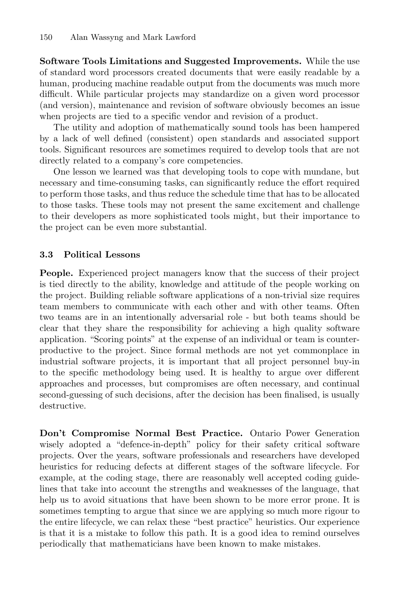**Software Tools Limitations and Suggested Improvements.** While the use of standard word processors created documents that were easily readable by a human, producing machine readable output from the documents was much more difficult. While particular projects may standardize on a given word processor (and version), maintenance and revision of software obviously becomes an issue when projects are tied to a specific vendor and revision of a product.

The utility and adoption of mathematically sound tools has been hampered by a lack of well defined (consistent) open standards and associated support tools. Significant resources are sometimes required to develop tools that are not directly related to a company's core competencies.

One lesson we learned was that developing tools to cope with mundane, but necessary and time-consuming tasks, can significantly reduce the effort required to perform those tasks, and thus reduce the schedule time that has to be allocated to those tasks. These tools may not present the same excitement and challenge to their developers as more sophisticated tools might, but their importance to the project can be even more substantial.

### **3.3 Political Lessons**

**People.** Experienced project managers know that the success of their project is tied directly to the ability, knowledge and attitude of the people working on the project. Building reliable software applications of a non-trivial size requires team members to communicate with each other and with other teams. Often two teams are in an intentionally adversarial role - but both teams should be clear that they share the responsibility for achieving a high quality software application. "Scoring points" at the expense of an individual or team is counterproductive to the project. Since formal methods are not yet commonplace in industrial software projects, it is important that all project personnel buy-in to the specific methodology being used. It is healthy to argue over different approaches and processes, but compromises are often necessary, and continual second-guessing of such decisions, after the decision has been finalised, is usually destructive.

**Don't Compromise Normal Best Practice.** Ontario Power Generation wisely adopted a "defence-in-depth" policy for their safety critical software projects. Over the years, software professionals and researchers have developed heuristics for reducing defects at different stages of the software lifecycle. For example, at the coding stage, there are reasonably well accepted coding guidelines that take into account the strengths and weaknesses of the language, that help us to avoid situations that have been shown to be more error prone. It is sometimes tempting to argue that since we are applying so much more rigour to the entire lifecycle, we can relax these "best practice" heuristics. Our experience is that it is a mistake to follow this path. It is a good idea to remind ourselves periodically that mathematicians have been known to make mistakes.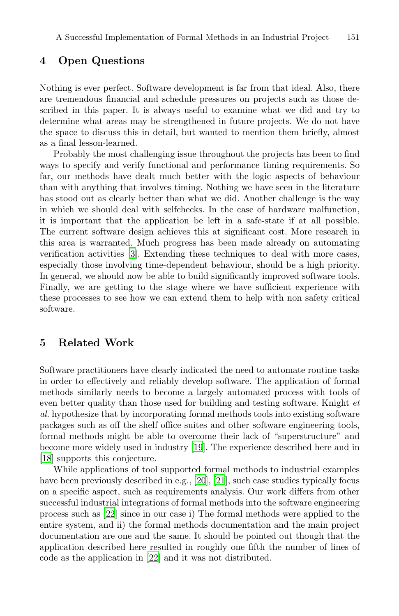## <span id="page-18-0"></span>**4 Open Questions**

Nothing is ever perfect. Software development is far from that ideal. Also, there are tremendous financial and schedule pressures on projects such as those described in this paper. It is always useful to examine what we did and try to determine what areas may be strengthened in future projects. We do not have the space to discuss this in detail, but wanted to mention them briefly, almost as a final lesson-learned.

Probably the most challenging issue throughout the projects has been to find ways to specify and verify functional and performance timing requirements. So far, our methods have dealt much better with the logic aspects of behaviour than with anything that involves timing. Nothing we have seen in the literature has stood out as clearly better than what we did. Another challenge is the way in which we should deal with selfchecks. In the case of hardware malfunction, it is important that the application be left in a safe-state if at all possible. The current software design achieves this at significant cost. More research in this area is warranted. Much progress has been made already on automating verification activities [\[3\]](#page-19-0). Extending these techniques to deal with more cases, especially those involving time-dependent behaviour, should be a high priority. In general, we should now be able to build significantly improved software tools. Finally, we are getting to the stage where we have sufficient experience with these processes to see how we can extend them to help with non safety critical software.

### **5 Related Work**

Software practitioners have clearly indicated the need to automate routine tasks in order to effectively and reliably develop software. The application of formal methods similarly needs to become a largely automated process with tools of even better quality than those used for building and testing software. Knight *et al.* hypothesize that by incorporating formal methods tools into existing software packages such as off the shelf office suites and other software engineering tools, formal methods might be able to overcome their lack of "superstructure" and become more widely used in industry [\[19](#page-20-0)]. The experience described here and in [\[18](#page-20-0)] supports this conjecture.

While applications of tool supported formal methods to industrial examples have been previously described in e.g., [\[20](#page-20-0)], [\[21](#page-20-0)], such case studies typically focus on a specific aspect, such as requirements analysis. Our work differs from other successful industrial integrations of formal methods into the software engineering process such as [\[22](#page-20-0)] since in our case i) The formal methods were applied to the entire system, and ii) the formal methods documentation and the main project documentation are one and the same. It should be pointed out though that the application described here resulted in roughly one fifth the number of lines of code as the application in [\[22\]](#page-20-0) and it was not distributed.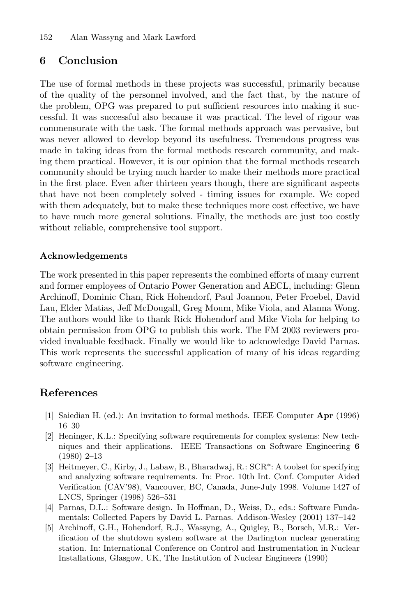## <span id="page-19-0"></span>**6 Conclusion**

The use of formal methods in these projects was successful, primarily because of the quality of the personnel involved, and the fact that, by the nature of the problem, OPG was prepared to put sufficient resources into making it successful. It was successful also because it was practical. The level of rigour was commensurate with the task. The formal methods approach was pervasive, but was never allowed to develop beyond its usefulness. Tremendous progress was made in taking ideas from the formal methods research community, and making them practical. However, it is our opinion that the formal methods research community should be trying much harder to make their methods more practical in the first place. Even after thirteen years though, there are significant aspects that have not been completely solved - timing issues for example. We coped with them adequately, but to make these techniques more cost effective, we have to have much more general solutions. Finally, the methods are just too costly without reliable, comprehensive tool support.

## **Acknowledgements**

The work presented in this paper represents the combined efforts of many current and former employees of Ontario Power Generation and AECL, including: Glenn Archinoff, Dominic Chan, Rick Hohendorf, Paul Joannou, Peter Froebel, David Lau, Elder Matias, Jeff McDougall, Greg Moum, Mike Viola, and Alanna Wong. The authors would like to thank Rick Hohendorf and Mike Viola for helping to obtain permission from OPG to publish this work. The FM 2003 reviewers provided invaluable feedback. Finally we would like to acknowledge David Parnas. This work represents the successful application of many of his ideas regarding software engineering.

## **References**

- [1] Saiedian H. (ed.): An invitation to formal methods. IEEE Computer **Apr** (1996) 16–30
- [2] Heninger, K.L.: Specifying software requirements for complex systems: New techniques and their applications. IEEE Transactions on Software Engineering **6** (1980) 2–13
- [3] Heitmeyer, C., Kirby, J., Labaw, B., Bharadwaj, R.: SCR\*: A toolset for specifying and analyzing software requirements. In: Proc. 10th Int. Conf. Computer Aided Verification (CAV'98), Vancouver, BC, Canada, June-July 1998. Volume 1427 of LNCS, Springer (1998) 526–531
- [4] Parnas, D.L.: Software design. In Hoffman, D., Weiss, D., eds.: Software Fundamentals: Collected Papers by David L. Parnas. Addison-Wesley (2001) 137–142
- [5] Archinoff, G.H., Hohendorf, R.J., Wassyng, A., Quigley, B., Borsch, M.R.: Verification of the shutdown system software at the Darlington nuclear generating station. In: International Conference on Control and Instrumentation in Nuclear Installations, Glasgow, UK, The Institution of Nuclear Engineers (1990)